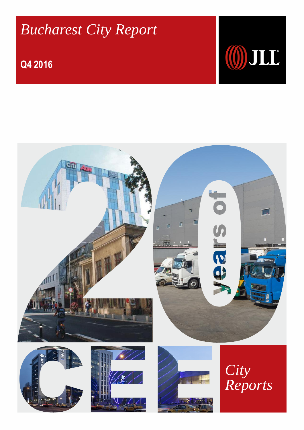# *Bucharest City Report*

# **Q4 2016**



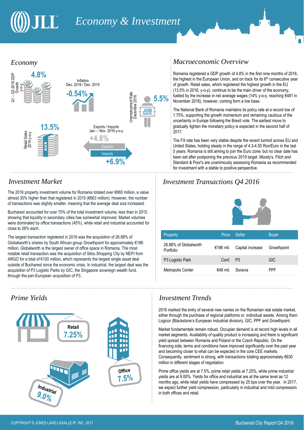# **ILL** *Economy & Investment*

### *Economy*



### *Investment Market*

The 2016 property investment volume for Romania totaled over €860 million, a value almost 30% higher than that registered in 2015 (€663 million). However, the number of transactions was slightly smaller, meaning that the average deal size increased.

Bucharest accounted for over 70% of the total investment volume, less than in 2015, showing that liquidity in secondary cities has somewhat improved. Market volumes were dominated by office transactions (45%), while retail and industrial accounted for close to 26% each.

The largest transaction registered in 2016 was the acquisition of 26.88% of Globalworth's shares by South African group Growthpoint for approximately €186 million. Globalworth is the largest owner of office space in Romania. The most notable retail transaction was the acquisition of Sibiu Shopping City by NEPI from ARGO for a total of €100 million, which represents the largest single asset deal outside of Bucharest since the economic crisis. In industrial, the largest deal was the acquisition of P3 Logistic Parks by GIC, the Singapore sovereign wealth fund, through the pan-European acquisition of P3.



### *Macroeconomic Overview*

Romania registered a GDP growth of 4.8% in the first nine months of 2016, the highest in the European Union, and on track for its  $6<sup>th</sup>$  consecutive year of growth. Retail sales, which registered the highest growth in the EU (13.5% in 2016, y-o-y), continue to be the main driver of the economy, fuelled by the increase in net average wages (14% y-o-y, reaching €481 in November 2016), however, coming form a low base.

The National Bank of Romania maintains its policy rate at a record low of 1.75%, supporting the growth momentum and remaining cautious of the uncertainty in Europe following the Brexit vote. The earliest move to gradually tighten the monetary policy is expected in the second half of 2017.

The FX rate has been very stable despite the recent turmoil across EU and United States, holding steady in the range of 4.3-4.55 Ron/Euro in the last 5 years. Romania is still aiming to join the Euro zone, but no clear date has been set after postponing the previous 2019 target. Moody's, Fitch and Standard & Poor's are unanimously assessing Romania as recommended for investment with a stable to positive perspective.

### *Investment Transactions Q4 2016*



| Property                           | <b>Price</b> | Seller           | <b>Buyer</b> |
|------------------------------------|--------------|------------------|--------------|
| 26.88% of Globalworth<br>Portfolio | €186 mil.    | Capital increase | Growthpoint  |
| P3 Logistic Park                   | Conf. P3     |                  | <b>GIC</b>   |
| <b>Metropolis Center</b>           | $€48$ mil    | Soravia          | PPF          |

### *Prime Yields Investment Trends*

2016 marked the entry of several new names on the Romanian real estate market, either through the purchase of regional platforms or, individual assets. Among them Logicor (Blackstone's European industrial division), GIC, PPF and Growthpoint.

Market fundamentals remain robust. Occupier demand is at record high levels in all market segments. Availability of quality product is increasing and there is significant yield spread between Romania and Poland or the Czech Republic. On the financing side, terms and conditions have improved significantly over the past year and becoming closer to what can be expected in the core CEE markets. Consequently, sentiment is strong, with transactions totaling approximately €630 million in different stages of negotiation.

Prime office yields are at 7.5%, prime retail yields at 7.25%, while prime industrial yields are at 9.00%. Yields for office and industrial are at the same level as 12 months ago, while retail yields have compressed by 25 bps over the year. In 2017, we expect further yield compression, particularly in industrial and mild compression in both offices and retail.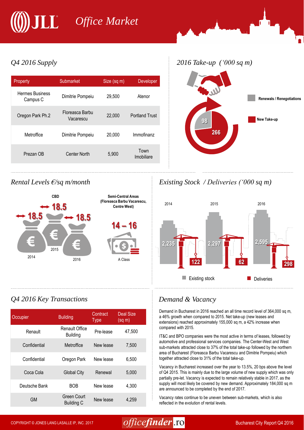# *Office Market*  $\begin{bmatrix} 1 \\ 1 \end{bmatrix}$

| Property                           | Submarket                    | Size (sq m) | Developer             |
|------------------------------------|------------------------------|-------------|-----------------------|
| <b>Hermes Business</b><br>Campus C | Dimitrie Pompeiu             | 29,500      | Atenor                |
| Oregon Park Ph.2                   | Floreasca Barbu<br>Vacarescu | 22,000      | <b>Portland Trust</b> |
| Metroffice                         | Dimitrie Pompeiu             | 20,000      | Immofinanz            |
| Prezan OB                          | <b>Center North</b>          | 5,900       | Town<br>Imobiliare    |



### *Q4 2016 Supply 2016 Take-up ('000 sq m)*



## *Rental Levels €/sq m/month Existing Stock / Deliveries ('000 sq m)*



## *Q4 2016 Key Transactions Demand & Vacancy*

| Occupier      | <b>Building</b>                          | Contract<br><b>Type</b> | Deal Size<br>$(sq \, m)$ |
|---------------|------------------------------------------|-------------------------|--------------------------|
| Renault       | <b>Renault Office</b><br><b>Building</b> | Pre-lease               | 47,500                   |
| Confidential  | Metroffice                               | New lease               | 7,500                    |
| Confidential  | Oregon Park                              | New lease               | 6,500                    |
| Coca Cola     | <b>Global City</b>                       | Renewal                 | 5,000                    |
| Deutsche Bank | <b>BOB</b>                               | New lease               | 4,300                    |
| <b>GM</b>     | Green Court<br>Building C                | New lease               | 4,259                    |

Demand in Bucharest in 2016 reached an all time record level of 364,000 sq m, a 46% growth when compared to 2015. Net take-up (new leases and extensions) reached approximately 155,000 sq m, a 42% increase when compared with 2015.

IT&C and BPO companies were the most active in terms of leases, followed by automotive and professional services companies. The Center-West and West sub-markets attracted close to 37% of the total take-up followed by the northern area of Bucharest (Floreasca Barbu Vacarescu and Dimitrie Pompeiu) which together attracted close to 31% of the total take-up.

Vacancy in Bucharest increased over the year to 13.5%, 20 bps above the level of Q4 2015. This is mainly due to the large volume of new supply which was only partially pre-let. Vacancy is expected to remain relatively stable in 2017, as the supply will most likely be covered by new demand. Approximately 184,000 sq m are announced to be completed by the end of 2017.

Vacancy rates continue to be uneven between sub-markets, which is also reflected in the evolution of rental levels.

## COPYRIGHT © JONES LANG LASALLE IP, INC. 2017  $office \bm{finder}$  . To Bucharest City Report Q4 2016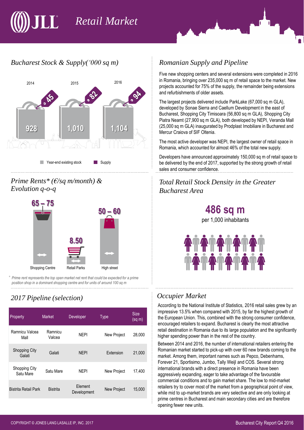# *Retail Market*

### *Bucharest Stock & Supply('000 sq m) Romanian Supply and Pipeline*



### *Prime Rents\* (€/sq m/month) & Evolution q-o-q*



\* *Prime rent represents the top open market net rent that could be expected for a prime position shop in a dominant shopping centre and for units of around 100 sq m*

## *2017 Pipeline (selection) Occupier Market*

| Property                          | <b>Market</b>     | Developer              | <b>Type</b> | <b>Size</b><br>(sq m) |
|-----------------------------------|-------------------|------------------------|-------------|-----------------------|
| Ramnicu Valcea<br>Mall            | Ramnicu<br>Valcea | <b>NFPI</b>            | New Project | 28,000                |
| <b>Shopping City</b><br>Galati    | Galati            | <b>NFPI</b>            | Extension   | 21,000                |
| <b>Shopping City</b><br>Satu Mare | Satu Mare         | <b>NFPI</b>            | New Project | 17,400                |
| <b>Bistrita Retail Park</b>       | <b>Bistrita</b>   | Element<br>Development | New Project | 15,000                |

Five new shopping centers and several extensions were completed in 2016 in Romania, bringing over 235,000 sq m of retail space to the market. New projects accounted for 75% of the supply, the remainder being extensions and refurbishments of older assets.

The largest projects delivered include ParkLake (67,000 sq m GLA), developed by Sonae Sierra and Caellum Development in the east of Bucharest, Shopping City Timisoara (56,800 sq m GLA), Shopping City Piatra Neamt (27,900 sq m GLA), both developed by NEPI, Veranda Mall (25,000 sq m GLA) inaugurated by Prodplast Imobiliare in Bucharest and Mercur Craiova of SIF Oltenia.

The most active developer was NEPI, the largest owner of retail space in Romania, which accounted for almost 46% of the total new supply.

Developers have announced approximately 150,000 sq m of retail space to be delivered by the end of 2017, supported by the strong growth of retail sales and consumer confidence.

*Total Retail Stock Density in the Greater Bucharest Area*

> **486 sq m** per 1,000 inhabitants WIU V

According to the National Institute of Statistics, 2016 retail sales grew by an impressive 13.5% when compared with 2015, by far the highest growth of the European Union. This, combined with the strong consumer confidence, encouraged retailers to expand. Bucharest is clearly the most attractive retail destination in Romania due to its large population and the significantly higher spending power than in the rest of the country.

Between 2014 and 2016, the number of international retailers entering the Romanian market started to pick-up with over 60 new brands coming to the market. Among them, important names such as Pepco, Debenhams, Forever 21, Sportisimo, Jumbo, Tally Weijl and COS. Several strong international brands with a direct presence in Romania have been aggressively expanding, eager to take advantage of the favourable commercial conditions and to gain market share. The low to mid-market retailers try to cover most of the market from a geographical point of view, while mid to up-market brands are very selective and are only looking at prime centres in Bucharest and main secondary cities and are therefore opening fewer new units.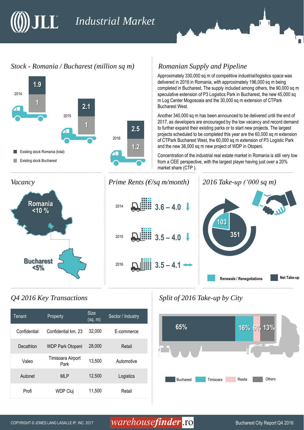# *Industrial Market*

### *Stock - Romania / Bucharest (million sq m)*



## *Romanian Supply and Pipeline*

Approximately 330,000 sq m of competitive industrial/logistics space was delivered in 2016 in Romania, with approximately 196,000 sq m being completed in Bucharest. The supply included among others, the 90,000 sq m speculative extension of P3 Logistics Park in Bucharest, the new 45,000 sq m Log Center Mogosoaia and the 30,000 sq m extension of CTPark Bucharest West.

Another 340,000 sq m has been announced to be delivered until the end of 2017, as developers are encouraged by the low vacancy and record demand to further expand their existing parks or to start new projects. The largest projects scheduled to be completed this year are the 60,000 sq m extension of CTPark Bucharest West, the 60,000 sq m extension of P3 Logistic Park and the new 38,000 sq m new project of WDP in Otopeni.

Concentration of the industrial real estate market in Romania is still very low from a CEE perspective, with the largest player having just over a 20% market share (CTP ).

*2016 Take-up ('000 sq m)*

**351**

**103**



### *Q4 2016 Key Transactions*

| Tenant       | Property                  | <b>Size</b><br>(sq. m) | Sector / Industry |
|--------------|---------------------------|------------------------|-------------------|
| Confidential | Confidential km. 23       | 32,000                 | E-commerce        |
| Decathlon    | <b>WDP Park Otopeni</b>   | 28,000                 | Retail            |
| Valeo        | Timisoara Airport<br>Park | 13,500                 | Automotive        |
| Autonet      | <b>MLP</b>                | 12,500                 | Logistics         |
| Profi        | WDP Cluj                  | 11,500                 | Retail            |

## *Split of 2016 Take-up by City*



## COPYRIGHT © JONES LANG LASALLE IP, INC. 2017  $\emph{warehouse}$  , to bucharest City Report Q4 2016

<sup>2014</sup> **3.6 – 4.0**

2015  $\Box$ :::::: 3.5 - 4.0

<sup>2016</sup> **3.5 – 4.1**

Renewals / Renegotiations **Net Take-up**